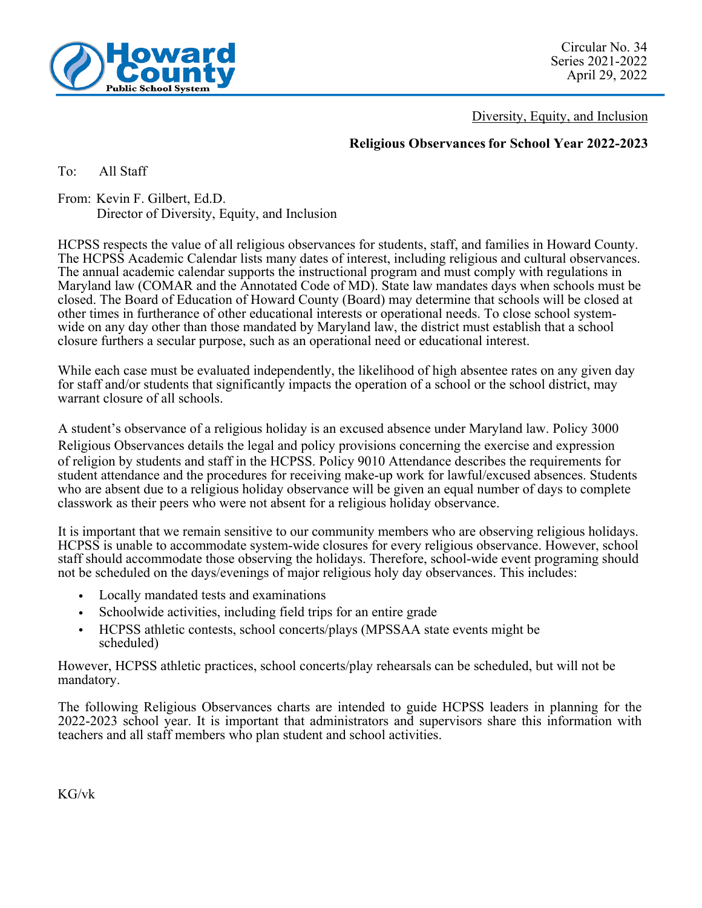

 Circular No. 34 Series 2021-2022 April 29, 2022

Diversity, Equity, and Inclusion

## **Religious Observances for School Year 2022-2023**

To: All Staff

From: Kevin F. Gilbert, Ed.D. Director of Diversity, Equity, and Inclusion

HCPSS respects the value of all religious observances for students, staff, and families in Howard County. The HCPSS Academic Calendar lists many dates of interest, including religious and cultural observances. The annual academic calendar supports the instructional program and must comply with regulations in Maryland law (COMAR and the Annotated Code of MD). State law mandates days when schools must be closed. The Board of Education of Howard County (Board) may determine that schools will be closed at other times in furtherance of other educational interests or operational needs. To close school systemwide on any day other than those mandated by Maryland law, the district must establish that a school closure furthers a secular purpose, such as an operational need or educational interest.

While each case must be evaluated independently, the likelihood of high absentee rates on any given day for staff and/or students that significantly impacts the operation of a school or the school district, may warrant closure of all schools.

A student's observance of a religious holiday is an excused absence under Maryland law. Policy 3000 Religious Observances details the legal and policy provisions concerning the exercise and expression of religion by students and staff in the HCPSS. Policy 9010 Attendance describes the requirements for student attendance and the procedures for receiving make-up work for lawful/excused absences. Students who are absent due to a religious holiday observance will be given an equal number of days to complete classwork as their peers who were not absent for a religious holiday observance.

It is important that we remain sensitive to our community members who are observing religious holidays. HCPSS is unable to accommodate system-wide closures for every religious observance. However, school staff should accommodate those observing the holidays. Therefore, school-wide event programing should not be scheduled on the days/evenings of major religious holy day observances. This includes:

- Locally mandated tests and examinations
- Schoolwide activities, including field trips for an entire grade
- HCPSS athletic contests, school concerts/plays (MPSSAA state events might be scheduled)

However, HCPSS athletic practices, school concerts/play rehearsals can be scheduled, but will not be mandatory.

The following Religious Observances charts are intended to guide HCPSS leaders in planning for the 2022-2023 school year. It is important that administrators and supervisors share this information with teachers and all staff members who plan student and school activities.

KG/vk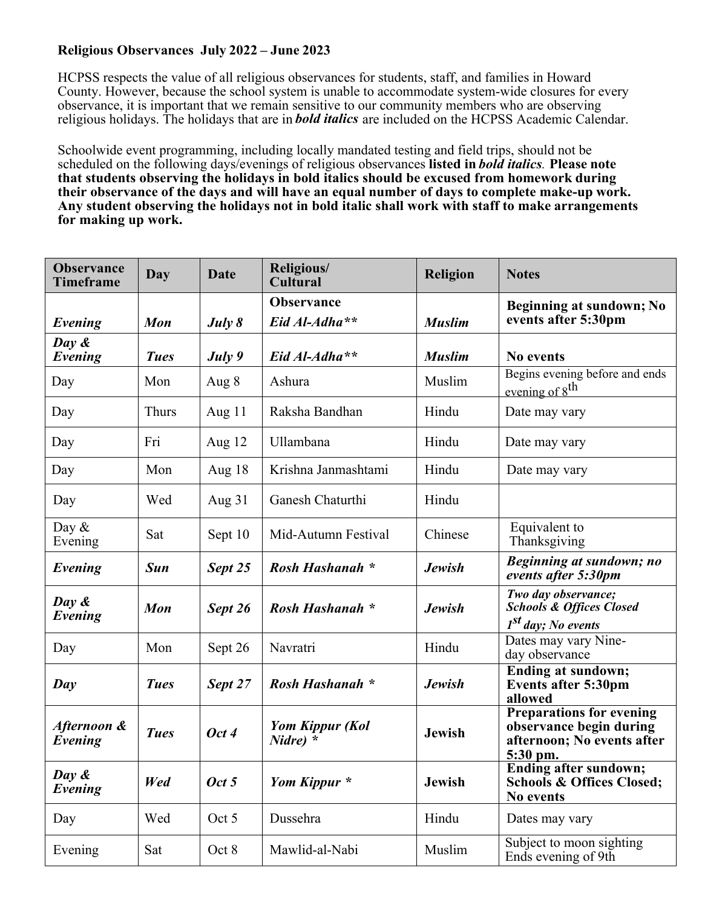## **Religious Observances July 2022 – June 2023**

HCPSS respects the value of all religious observances for students, staff, and families in Howard County. However, because the school system is unable to accommodate system-wide closures for every observance, it is important that we remain sensitive to our community members who are observing religious holidays. The holidays that are in *bold italics* are included on the HCPSS Academic Calendar.

Schoolwide event programming, including locally mandated testing and field trips, should not be scheduled on the following days/evenings of religious observances **listed in** *bold italics.* **Please note that students observing the holidays in bold italics should be excused from homework during their observance of the days and will have an equal number of days to complete make-up work. Any student observing the holidays not in bold italic shall work with staff to make arrangements for making up work.** 

| <b>Observance</b><br><b>Timeframe</b> | Day         | <b>Date</b> | Religious/<br>Cultural              | <b>Religion</b> | <b>Notes</b>                                                                                                |
|---------------------------------------|-------------|-------------|-------------------------------------|-----------------|-------------------------------------------------------------------------------------------------------------|
| Evening                               | <b>Mon</b>  | July 8      | <b>Observance</b><br>Eid Al-Adha**  | <b>Muslim</b>   | Beginning at sundown; No<br>events after 5:30pm                                                             |
| Day &<br>Evening                      | <b>Tues</b> | July 9      | Eid Al-Adha**                       | <b>Muslim</b>   | No events                                                                                                   |
| Day                                   | Mon         | Aug 8       | Ashura                              | Muslim          | Begins evening before and ends<br>evening of $8^{th}$                                                       |
| Day                                   | Thurs       | Aug 11      | Raksha Bandhan                      | Hindu           | Date may vary                                                                                               |
| Day                                   | Fri         | Aug $12$    | Ullambana                           | Hindu           | Date may vary                                                                                               |
| Day                                   | Mon         | Aug $18$    | Krishna Janmashtami                 | Hindu           | Date may vary                                                                                               |
| Day                                   | Wed         | Aug $31$    | Ganesh Chaturthi                    | Hindu           |                                                                                                             |
| Day $\&$<br>Evening                   | Sat         | Sept 10     | Mid-Autumn Festival                 | Chinese         | Equivalent to<br>Thanksgiving                                                                               |
| Evening                               | <b>Sun</b>  | Sept 25     | Rosh Hashanah *                     | <b>Jewish</b>   | Beginning at sundown; no<br>events after 5:30pm                                                             |
| Day $\&$<br>Evening                   | Mon         | Sept 26     | Rosh Hashanah *                     | <b>Jewish</b>   | Two day observance;<br><b>Schools &amp; Offices Closed</b><br>$1st$ day; No events                          |
| Day                                   | Mon         | Sept 26     | Navratri                            | Hindu           | Dates may vary Nine-<br>day observance                                                                      |
| Day                                   | <b>Tues</b> | Sept 27     | Rosh Hashanah *                     | <b>Jewish</b>   | <b>Ending at sundown;</b><br><b>Events after 5:30pm</b><br>allowed                                          |
| Afternoon &<br>Evening                | <b>Tues</b> | Oct 4       | <b>Yom Kippur (Kol</b><br>$Nidre$ * | <b>Jewish</b>   | <b>Preparations for evening</b><br>observance begin during<br>afternoon; No events after<br><u>5:30 pm.</u> |
| Day $\&$<br>Evening                   | Wed         | Oct 5       | Yom Kippur *                        | <b>Jewish</b>   | <b>Ending after sundown;</b><br><b>Schools &amp; Offices Closed;</b><br>No events                           |
| Day                                   | Wed         | Oct 5       | Dussehra                            | Hindu           | Dates may vary                                                                                              |
| Evening                               | Sat         | Oct 8       | Mawlid-al-Nabi                      | Muslim          | Subject to moon sighting<br>Ends evening of 9th                                                             |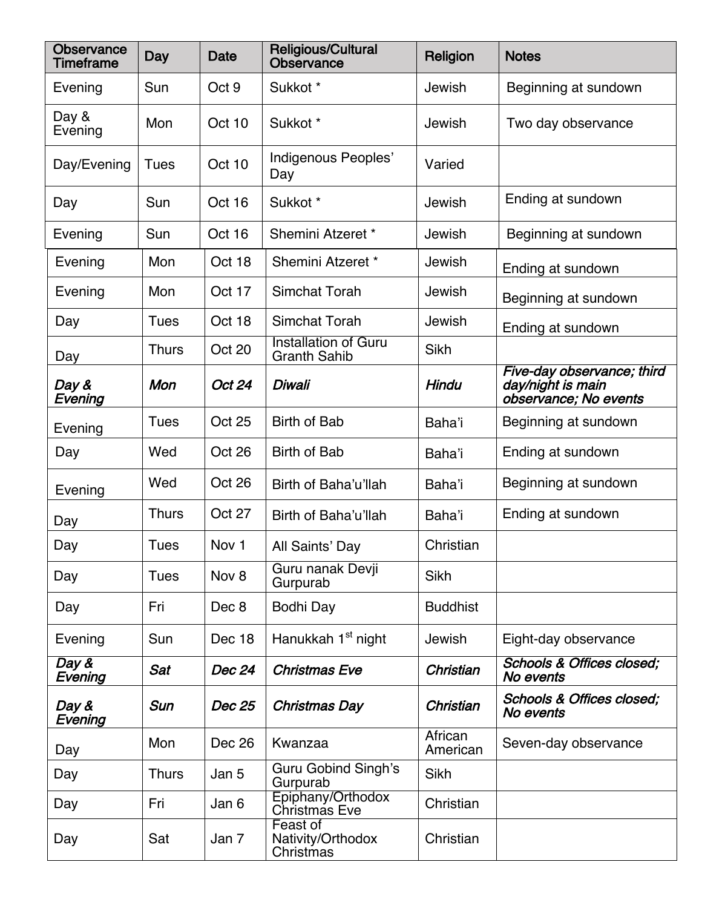| Observance<br><b>Timeframe</b> | Day          | <b>Date</b>      | <b>Religious/Cultural</b><br>Observance            | Religion            | <b>Notes</b>                                                             |
|--------------------------------|--------------|------------------|----------------------------------------------------|---------------------|--------------------------------------------------------------------------|
| Evening                        | Sun          | Oct 9            | Sukkot*                                            | Jewish              | Beginning at sundown                                                     |
| Day &<br>Evening               | Mon          | Oct 10           | Sukkot *                                           | Jewish              | Two day observance                                                       |
| Day/Evening                    | <b>Tues</b>  | Oct 10           | Indigenous Peoples'<br>Day                         | Varied              |                                                                          |
| Day                            | <b>Sun</b>   | Oct 16           | Sukkot <sup>*</sup>                                | Jewish              | Ending at sundown                                                        |
| Evening                        | Sun          | Oct 16           | Shemini Atzeret *                                  | Jewish              | Beginning at sundown                                                     |
| Evening                        | Mon          | Oct 18           | Shemini Atzeret *                                  | Jewish              | Ending at sundown                                                        |
| Evening                        | Mon          | Oct 17           | <b>Simchat Torah</b>                               | Jewish              | Beginning at sundown                                                     |
| Day                            | Tues         | Oct 18           | <b>Simchat Torah</b>                               | Jewish              | Ending at sundown                                                        |
| Day                            | <b>Thurs</b> | Oct 20           | <b>Installation of Guru</b><br><b>Granth Sahib</b> | <b>Sikh</b>         |                                                                          |
| Day &<br>Evening               | <b>Mon</b>   | Oct 24           | Diwali                                             | Hindu               | Five-day observance; third<br>day/night is main<br>observance; No events |
| Evening                        | <b>Tues</b>  | Oct 25           | <b>Birth of Bab</b>                                | Baha'i              | Beginning at sundown                                                     |
| Day                            | Wed          | Oct 26           | <b>Birth of Bab</b>                                | Baha'i              | Ending at sundown                                                        |
| Evening                        | Wed          | Oct 26           | Birth of Baha'u'llah                               | Baha'i              | Beginning at sundown                                                     |
| Day                            | <b>Thurs</b> | Oct 27           | Birth of Baha'u'llah                               | Baha'i              | Ending at sundown                                                        |
| Day                            | <b>Tues</b>  | Nov <sub>1</sub> | All Saints' Day                                    | Christian           |                                                                          |
| Day                            | <b>Tues</b>  | Nov 8            | Guru nanak Devji<br>Gurpurab                       | <b>Sikh</b>         |                                                                          |
| Day                            | Fri          | Dec 8            | Bodhi Day                                          | <b>Buddhist</b>     |                                                                          |
| Evening                        | Sun          | Dec 18           | Hanukkah 1 <sup>st</sup> night                     | Jewish              | Eight-day observance                                                     |
| Day &<br>Evening               | Sat          | Dec 24           | <b>Christmas Eve</b>                               | Christian           | <b>Schools &amp; Offices closed;</b><br>No events                        |
| Day &<br>Evening               | <b>Sun</b>   | Dec 25           | <b>Christmas Day</b>                               | Christian           | <b>Schools &amp; Offices closed;</b><br>No events                        |
| Day                            | Mon          | Dec 26           | Kwanzaa                                            | African<br>American | Seven-day observance                                                     |
| Day                            | <b>Thurs</b> | Jan 5            | Guru Gobind Singh's<br>Gurpurab                    | <b>Sikh</b>         |                                                                          |
| Day                            | Fri          | Jan 6            | Epiphany/Orthodox<br><b>Christmas Eve</b>          | Christian           |                                                                          |
| Day                            | Sat          | Jan 7            | Feast of<br>Nativity/Orthodox<br>Christmas         | Christian           |                                                                          |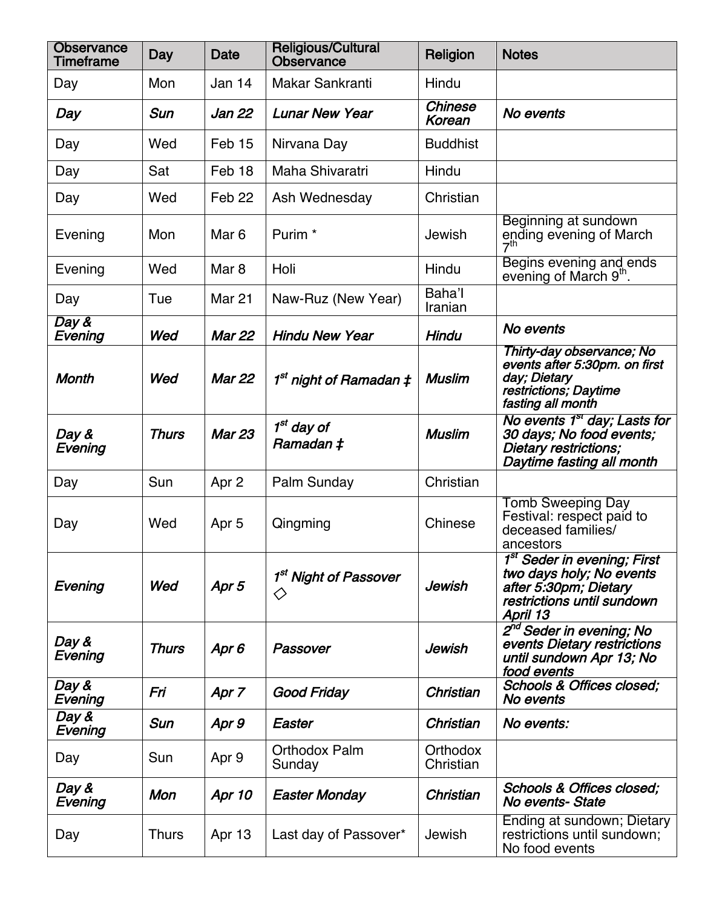| <b>Observance</b><br><b>Timeframe</b> | Day          | <b>Date</b>       | <b>Religious/Cultural</b><br>Observance             | Religion              | <b>Notes</b>                                                                                                                           |
|---------------------------------------|--------------|-------------------|-----------------------------------------------------|-----------------------|----------------------------------------------------------------------------------------------------------------------------------------|
| Day                                   | Mon          | Jan 14            | <b>Makar Sankranti</b>                              | Hindu                 |                                                                                                                                        |
| Day                                   | Sun          | Jan 22            | <b>Lunar New Year</b>                               | Chinese<br>Korean     | No events                                                                                                                              |
| Day                                   | Wed          | Feb 15            | Nirvana Day                                         | <b>Buddhist</b>       |                                                                                                                                        |
| Day                                   | Sat          | Feb 18            | Maha Shivaratri                                     | Hindu                 |                                                                                                                                        |
| Day                                   | Wed          | Feb <sub>22</sub> | Ash Wednesday                                       | Christian             |                                                                                                                                        |
| Evening                               | Mon          | Mar <sub>6</sub>  | Purim <sup>*</sup>                                  | Jewish                | Beginning at sundown<br>ending evening of March<br>7 <sup>th</sup>                                                                     |
| Evening                               | Wed          | Mar <sub>8</sub>  | Holi                                                | Hindu                 | Begins evening and ends<br>evening of March 9 <sup>th</sup> .                                                                          |
| Day                                   | Tue          | Mar 21            | Naw-Ruz (New Year)                                  | Baha'l<br>Iranian     |                                                                                                                                        |
| Day &<br>Evening                      | Wed          | <b>Mar 22</b>     | <b>Hindu New Year</b>                               | Hindu                 | No events                                                                                                                              |
| <b>Month</b>                          | Wed          | <b>Mar 22</b>     | 1 <sup>st</sup> night of Ramadan $\pm$              | <b>Muslim</b>         | Thirty-day observance; No<br>events after 5:30pm. on first<br>day; Dietary<br>restrictions; Daytime<br>fasting all month               |
| Day &<br>Evening                      | <b>Thurs</b> | <b>Mar 23</b>     | $1st$ day of<br>Ramadan ‡                           | <b>Muslim</b>         | No events 1 <sup>st</sup> day; Lasts for<br>30 days; No food events;<br>Dietary restrictions;<br>Daytime fasting all month             |
| Day                                   | Sun          | Apr 2             | Palm Sunday                                         | Christian             |                                                                                                                                        |
| Day                                   | Wed          | Apr <sub>5</sub>  | Qingming                                            | Chinese               | <b>Tomb Sweeping Day</b><br>Festival: respect paid to<br>deceased families/<br>ancestors                                               |
| Evening                               | Wed          | Apr 5             | 1 <sup>st</sup> Night of Passover<br>$\diamondsuit$ | Jewish                | 1 <sup>st</sup> Seder in evening; First<br>two days holy; No events<br>after 5:30pm; Dietary<br>restrictions until sundown<br>April 13 |
| Day &<br>Evening                      | <b>Thurs</b> | Apr 6             | Passover                                            | Jewish                | 2 <sup>nd</sup> Seder in evening; No<br>events Dietary restrictions<br>until sundown Apr 13; No<br>food events                         |
| Day &<br>Evening                      | Fri          | Apr 7             | <b>Good Friday</b>                                  | <b>Christian</b>      | <b>Schools &amp; Offices closed;</b><br>No events                                                                                      |
| Day &<br>Evening                      | Sun          | Apr 9             | Easter                                              | Christian             | No events:                                                                                                                             |
| Day                                   | Sun          | Apr 9             | <b>Orthodox Palm</b><br>Sunday                      | Orthodox<br>Christian |                                                                                                                                        |
| Day &<br>Evening                      | Mon          | Apr 10            | <b>Easter Monday</b>                                | Christian             | <b>Schools &amp; Offices closed;</b><br>No events- State                                                                               |
| Day                                   | <b>Thurs</b> | Apr 13            | Last day of Passover*                               | Jewish                | Ending at sundown; Dietary<br>restrictions until sundown;<br>No food events                                                            |